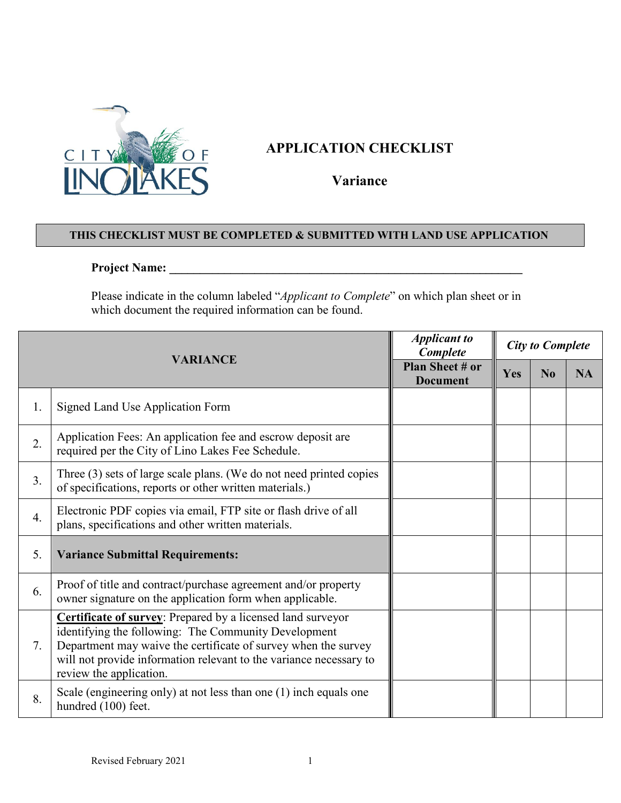

## **APPLICATION CHECKLIST**

**Variance**

## **THIS CHECKLIST MUST BE COMPLETED & SUBMITTED WITH LAND USE APPLICATION**

## **Project Name: \_\_\_\_\_\_\_\_\_\_\_\_\_\_\_\_\_\_\_\_\_\_\_\_\_\_\_\_\_\_\_\_\_\_\_\_\_\_\_\_\_\_\_\_\_\_\_\_\_\_\_\_\_\_\_\_\_\_**

Please indicate in the column labeled "*Applicant to Complete*" on which plan sheet or in which document the required information can be found.

| <b>VARIANCE</b> |                                                                                                                                                                                                                                                                                        | <b>Applicant to</b><br><b>Complete</b> | <b>City to Complete</b> |                |           |
|-----------------|----------------------------------------------------------------------------------------------------------------------------------------------------------------------------------------------------------------------------------------------------------------------------------------|----------------------------------------|-------------------------|----------------|-----------|
|                 |                                                                                                                                                                                                                                                                                        | Plan Sheet # or<br><b>Document</b>     | Yes                     | N <sub>0</sub> | <b>NA</b> |
| 1.              | Signed Land Use Application Form                                                                                                                                                                                                                                                       |                                        |                         |                |           |
| 2.              | Application Fees: An application fee and escrow deposit are<br>required per the City of Lino Lakes Fee Schedule.                                                                                                                                                                       |                                        |                         |                |           |
| 3.              | Three $(3)$ sets of large scale plans. (We do not need printed copies<br>of specifications, reports or other written materials.)                                                                                                                                                       |                                        |                         |                |           |
| 4.              | Electronic PDF copies via email, FTP site or flash drive of all<br>plans, specifications and other written materials.                                                                                                                                                                  |                                        |                         |                |           |
| 5.              | <b>Variance Submittal Requirements:</b>                                                                                                                                                                                                                                                |                                        |                         |                |           |
| 6.              | Proof of title and contract/purchase agreement and/or property<br>owner signature on the application form when applicable.                                                                                                                                                             |                                        |                         |                |           |
| 7.              | Certificate of survey: Prepared by a licensed land surveyor<br>identifying the following: The Community Development<br>Department may waive the certificate of survey when the survey<br>will not provide information relevant to the variance necessary to<br>review the application. |                                        |                         |                |           |
| 8.              | Scale (engineering only) at not less than one (1) inch equals one<br>hundred (100) feet.                                                                                                                                                                                               |                                        |                         |                |           |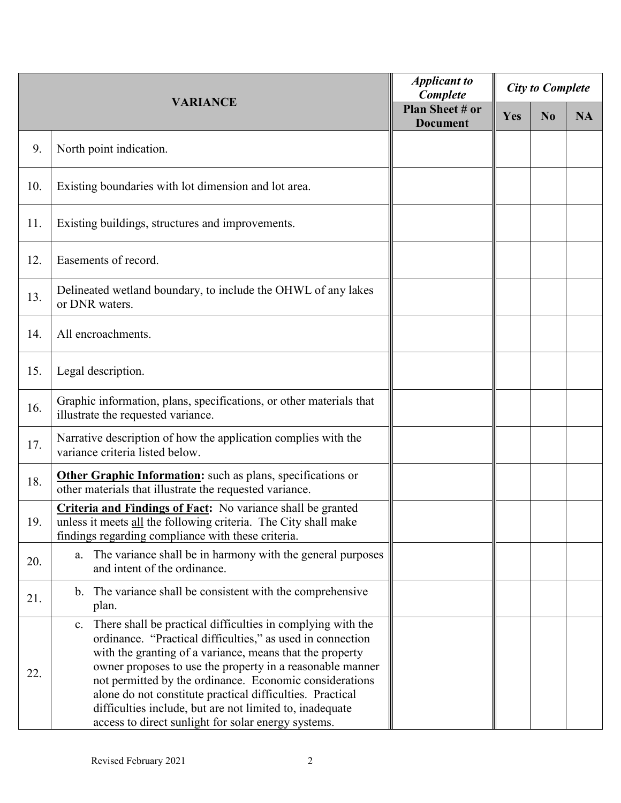|                 |                                                                                                                                                                                                                                                                                                                                                                                                                                                                                                  | <b>Applicant to</b><br>Complete           | <b>City to Complete</b> |                |           |
|-----------------|--------------------------------------------------------------------------------------------------------------------------------------------------------------------------------------------------------------------------------------------------------------------------------------------------------------------------------------------------------------------------------------------------------------------------------------------------------------------------------------------------|-------------------------------------------|-------------------------|----------------|-----------|
| <b>VARIANCE</b> |                                                                                                                                                                                                                                                                                                                                                                                                                                                                                                  | <b>Plan Sheet # or</b><br><b>Document</b> | Yes                     | N <sub>0</sub> | <b>NA</b> |
| 9.              | North point indication.                                                                                                                                                                                                                                                                                                                                                                                                                                                                          |                                           |                         |                |           |
| 10.             | Existing boundaries with lot dimension and lot area.                                                                                                                                                                                                                                                                                                                                                                                                                                             |                                           |                         |                |           |
| 11.             | Existing buildings, structures and improvements.                                                                                                                                                                                                                                                                                                                                                                                                                                                 |                                           |                         |                |           |
| 12.             | Easements of record.                                                                                                                                                                                                                                                                                                                                                                                                                                                                             |                                           |                         |                |           |
| 13.             | Delineated wetland boundary, to include the OHWL of any lakes<br>or DNR waters.                                                                                                                                                                                                                                                                                                                                                                                                                  |                                           |                         |                |           |
| 14.             | All encroachments.                                                                                                                                                                                                                                                                                                                                                                                                                                                                               |                                           |                         |                |           |
| 15.             | Legal description.                                                                                                                                                                                                                                                                                                                                                                                                                                                                               |                                           |                         |                |           |
| 16.             | Graphic information, plans, specifications, or other materials that<br>illustrate the requested variance.                                                                                                                                                                                                                                                                                                                                                                                        |                                           |                         |                |           |
| 17.             | Narrative description of how the application complies with the<br>variance criteria listed below.                                                                                                                                                                                                                                                                                                                                                                                                |                                           |                         |                |           |
| 18.             | Other Graphic Information: such as plans, specifications or<br>other materials that illustrate the requested variance.                                                                                                                                                                                                                                                                                                                                                                           |                                           |                         |                |           |
| 19.             | Criteria and Findings of Fact: No variance shall be granted<br>unless it meets all the following criteria. The City shall make<br>findings regarding compliance with these criteria.                                                                                                                                                                                                                                                                                                             |                                           |                         |                |           |
| 20.             | The variance shall be in harmony with the general purposes<br>a.<br>and intent of the ordinance.                                                                                                                                                                                                                                                                                                                                                                                                 |                                           |                         |                |           |
| 21.             | b. The variance shall be consistent with the comprehensive<br>plan.                                                                                                                                                                                                                                                                                                                                                                                                                              |                                           |                         |                |           |
| 22.             | c. There shall be practical difficulties in complying with the<br>ordinance. "Practical difficulties," as used in connection<br>with the granting of a variance, means that the property<br>owner proposes to use the property in a reasonable manner<br>not permitted by the ordinance. Economic considerations<br>alone do not constitute practical difficulties. Practical<br>difficulties include, but are not limited to, inadequate<br>access to direct sunlight for solar energy systems. |                                           |                         |                |           |